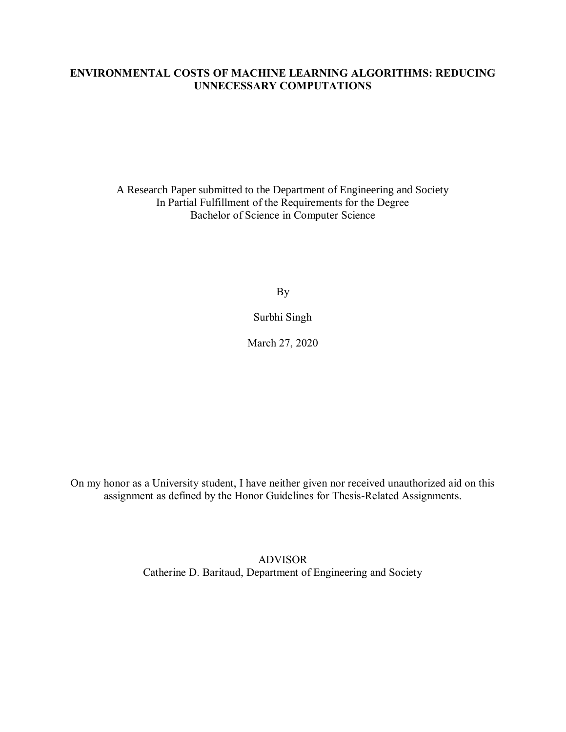# **ENVIRONMENTAL COSTS OF MACHINE LEARNING ALGORITHMS: REDUCING UNNECESSARY COMPUTATIONS**

A Research Paper submitted to the Department of Engineering and Society In Partial Fulfillment of the Requirements for the Degree Bachelor of Science in Computer Science

By

Surbhi Singh

March 27, 2020

On my honor as a University student, I have neither given nor received unauthorized aid on this assignment as defined by the Honor Guidelines for Thesis-Related Assignments.

> ADVISOR Catherine D. Baritaud, Department of Engineering and Society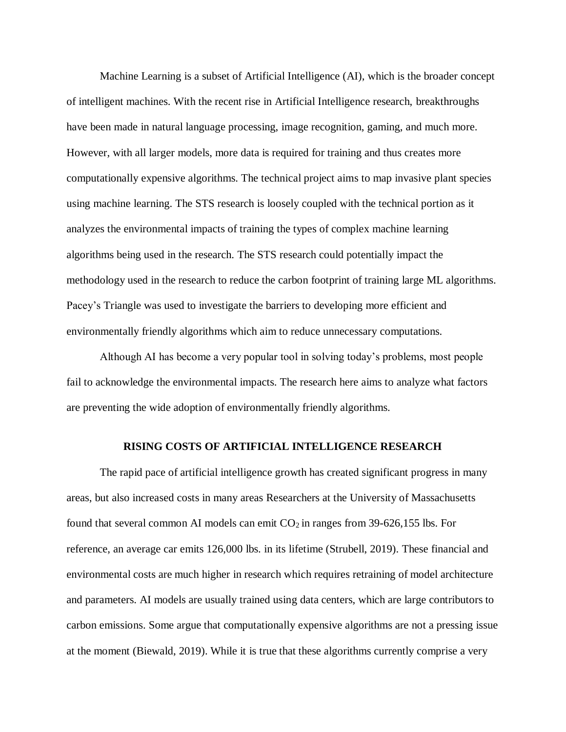Machine Learning is a subset of Artificial Intelligence (AI), which is the broader concept of intelligent machines. With the recent rise in Artificial Intelligence research, breakthroughs have been made in natural language processing, image recognition, gaming, and much more. However, with all larger models, more data is required for training and thus creates more computationally expensive algorithms. The technical project aims to map invasive plant species using machine learning. The STS research is loosely coupled with the technical portion as it analyzes the environmental impacts of training the types of complex machine learning algorithms being used in the research. The STS research could potentially impact the methodology used in the research to reduce the carbon footprint of training large ML algorithms. Pacey's Triangle was used to investigate the barriers to developing more efficient and environmentally friendly algorithms which aim to reduce unnecessary computations.

Although AI has become a very popular tool in solving today's problems, most people fail to acknowledge the environmental impacts. The research here aims to analyze what factors are preventing the wide adoption of environmentally friendly algorithms.

#### **RISING COSTS OF ARTIFICIAL INTELLIGENCE RESEARCH**

The rapid pace of artificial intelligence growth has created significant progress in many areas, but also increased costs in many areas Researchers at the University of Massachusetts found that several common AI models can emit  $CO_2$  in ranges from 39-626,155 lbs. For reference, an average car emits 126,000 lbs. in its lifetime (Strubell, 2019). These financial and environmental costs are much higher in research which requires retraining of model architecture and parameters. AI models are usually trained using data centers, which are large contributors to carbon emissions. Some argue that computationally expensive algorithms are not a pressing issue at the moment (Biewald, 2019). While it is true that these algorithms currently comprise a very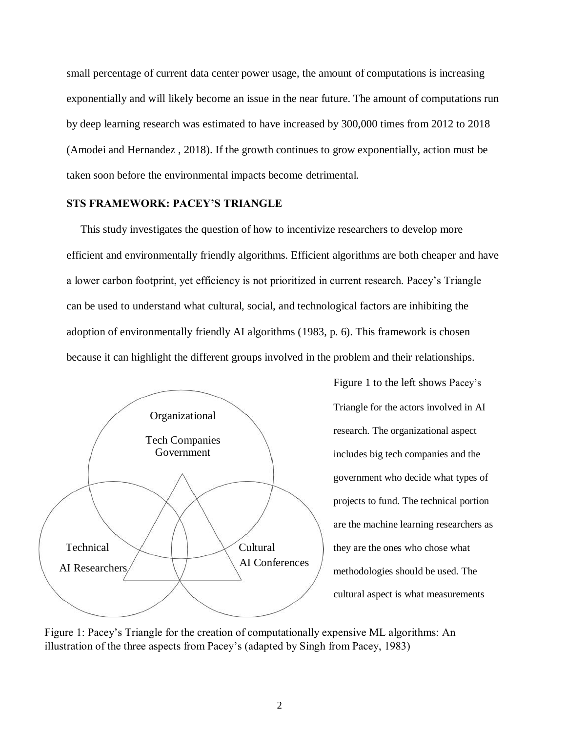small percentage of current data center power usage, the amount of computations is increasing exponentially and will likely become an issue in the near future. The amount of computations run by deep learning research was estimated to have increased by 300,000 times from 2012 to 2018 [\(Amodei and](https://openai.com/blog/ai-and-compute/) [Hernandez , 2018\).](https://openai.com/blog/ai-and-compute/) If the growth continues to grow exponentially, action must be taken soon before the environmental impacts become detrimental.

# **STS FRAMEWORK: PACEY'S TRIANGLE**

This study investigates the question of how to incentivize researchers to develop more efficient and environmentally friendly algorithms. Efficient algorithms are both cheaper and have a lower carbon footprint, yet efficiency is not prioritized in current research. Pacey's Triangle can be used to understand what cultural, social, and technological factors are inhibiting the adoption of environmentally friendly AI algorithms (1983, p. 6). This framework is chosen because it can highlight the different groups involved in the problem and their relationships.



Figure 1 to the left shows Pacey's Triangle for the actors involved in AI research. The organizational aspect includes big tech companies and the government who decide what types of projects to fund. The technical portion are the machine learning researchers as they are the ones who chose what methodologies should be used. The cultural aspect is what measurements

Figure 1: Pacey's Triangle for the creation of computationally expensive ML algorithms: An illustration of the three aspects from Pacey's (adapted by Singh from Pacey, 1983)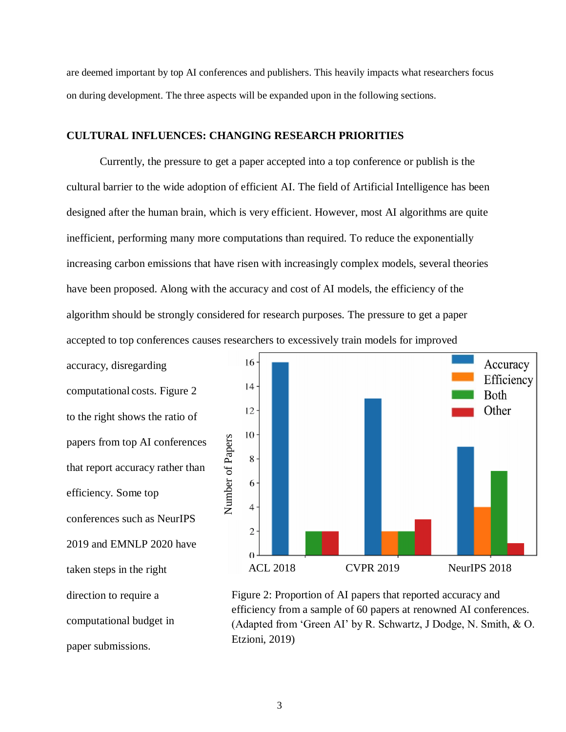are deemed important by top AI conferences and publishers. This heavily impacts what researchers focus on during development. The three aspects will be expanded upon in the following sections.

#### **CULTURAL INFLUENCES: CHANGING RESEARCH PRIORITIES**

Currently, the pressure to get a paper accepted into a top conference or publish is the cultural barrier to the wide adoption of efficient AI. The field of Artificial Intelligence has been designed after the human brain, which is very efficient. However, most AI algorithms are quite inefficient, performing many more computations than required. To reduce the exponentially increasing carbon emissions that have risen with increasingly complex models, several theories have been proposed. Along with the accuracy and cost of AI models, the efficiency of the algorithm should be strongly considered for research purposes. The pressure to get a paper accepted to top conferences causes researchers to excessively train models for improved

accuracy, disregarding computational costs. Figure 2 to the right shows the ratio of papers from top AI conferences that report accuracy rather than efficiency. Some top conferences such as [NeurIPS](https://medium.com/%40NeurIPSConf/behind-the-program-for-reproducibility-at-neurips-2019-8a020e57bfd9) [2019 a](https://medium.com/%40NeurIPSConf/behind-the-program-for-reproducibility-at-neurips-2019-8a020e57bfd9)nd [EMNLP 2020 h](https://2020.emnlp.org/call-for-papers)ave taken steps in the right direction to require a computational budget in paper submissions.



Figure 2: Proportion of AI papers that reported accuracy and efficiency from a sample of 60 papers at renowned AI conferences. (Adapted from 'Green AI' by R. Schwartz, J Dodge, N. Smith, & O. Etzioni, 2019)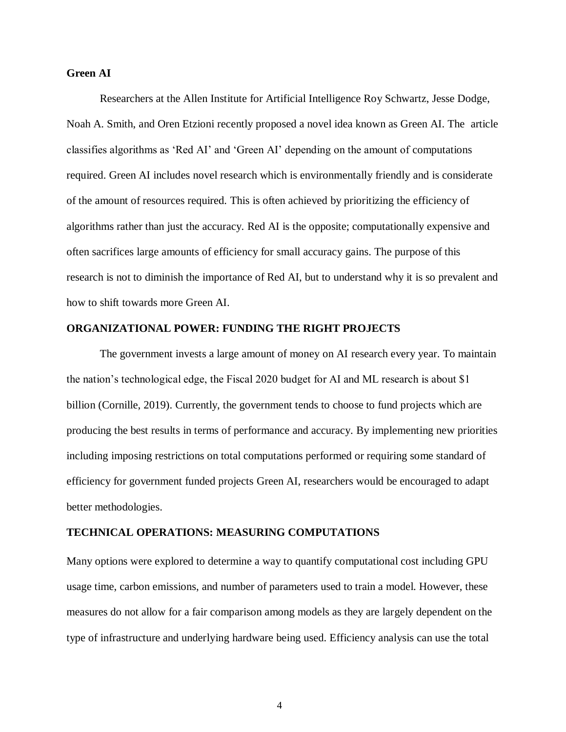## **Green AI**

Researchers at the Allen Institute for Artificial Intelligence Roy Schwartz, Jesse Dodge, Noah A. Smith, and Oren Etzioni recently proposed a novel idea known as Green AI. The article classifies algorithms as 'Red AI' and 'Green AI' depending on the amount of computations required. Green AI includes novel research which is environmentally friendly and is considerate of the amount of resources required. This is often achieved by prioritizing the efficiency of algorithms rather than just the accuracy. Red AI is the opposite; computationally expensive and often sacrifices large amounts of efficiency for small accuracy gains. The purpose of this research is not to diminish the importance of Red AI, but to understand why it is so prevalent and how to shift towards more Green AI.

### **ORGANIZATIONAL POWER: FUNDING THE RIGHT PROJECTS**

The government invests a large amount of money on AI research every year. To maintain the nation's technological edge, the Fiscal 2020 budget for AI and ML research is about \$1 billion (Cornille, 2019). Currently, the government tends to choose to fund projects which are producing the best results in terms of performance and accuracy. By implementing new priorities including imposing restrictions on total computations performed or requiring some standard of efficiency for government funded projects Green AI, researchers would be encouraged to adapt better methodologies.

### **TECHNICAL OPERATIONS: MEASURING COMPUTATIONS**

Many options were explored to determine a way to quantify computational cost including GPU usage time, carbon emissions, and number of parameters used to train a model. However, these measures do not allow for a fair comparison among models as they are largely dependent on the type of infrastructure and underlying hardware being used. Efficiency analysis can use the total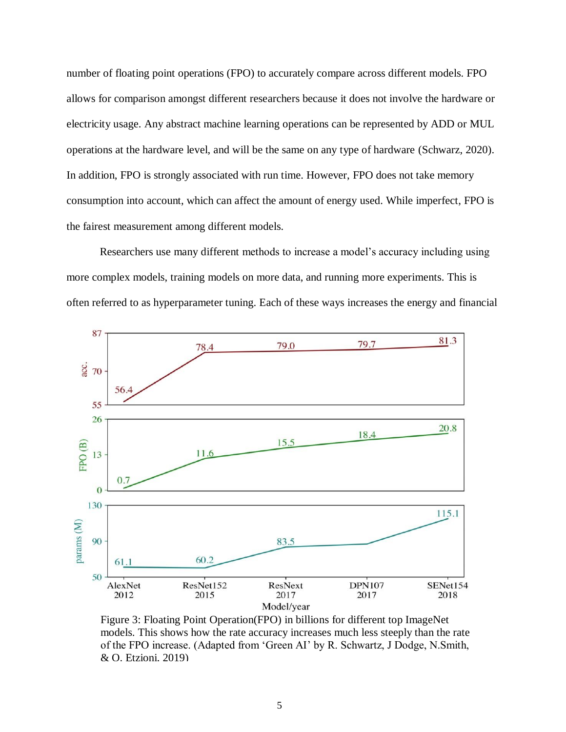number of floating point operations (FPO) to accurately compare across different models. FPO allows for comparison amongst different researchers because it does not involve the hardware or electricity usage. Any abstract machine learning operations can be represented by ADD or MUL operations at the hardware level, and will be the same on any type of hardware (Schwarz, 2020). In addition, FPO is strongly associated with run time. However, FPO does not take memory consumption into account, which can affect the amount of energy used. While imperfect, FPO is the fairest measurement among different models.

Researchers use many different methods to increase a model's accuracy including using more complex models, training models on more data, and running more experiments. This is often referred to as hyperparameter tuning. Each of these ways increases the energy and financial



Figure 3: Floating Point Operation(FPO) in billions for different top ImageNet models. This shows how the rate accuracy increases much less steeply than the rate of the FPO increase. (Adapted from 'Green AI' by R. Schwartz, J Dodge, N.Smith, & O. Etzioni, 2019)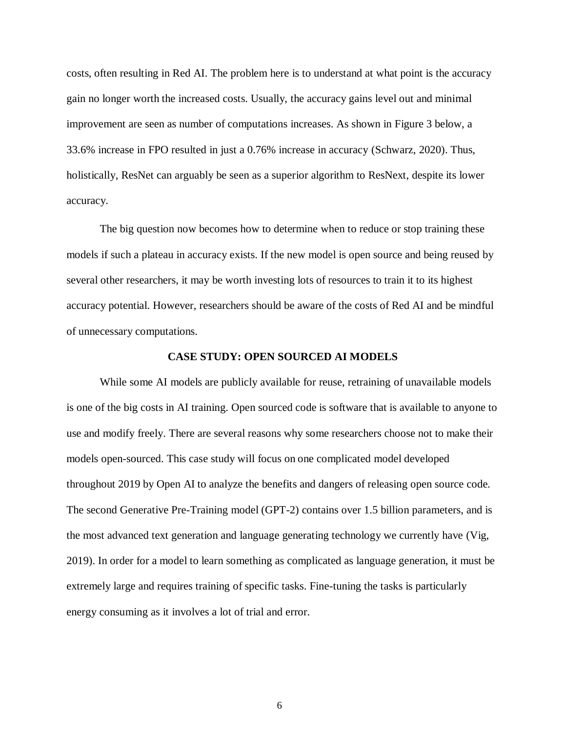costs, often resulting in Red AI. The problem here is to understand at what point is the accuracy gain no longer worth the increased costs. Usually, the accuracy gains level out and minimal improvement are seen as number of computations increases. As shown in Figure 3 below, a 33.6% increase in FPO resulted in just a 0.76% increase in accuracy (Schwarz, 2020). Thus, holistically, ResNet can arguably be seen as a superior algorithm to ResNext, despite its lower accuracy.

The big question now becomes how to determine when to reduce or stop training these models if such a plateau in accuracy exists. If the new model is open source and being reused by several other researchers, it may be worth investing lots of resources to train it to its highest accuracy potential. However, researchers should be aware of the costs of Red AI and be mindful of unnecessary computations.

#### **CASE STUDY: OPEN SOURCED AI MODELS**

While some AI models are publicly available for reuse, retraining of unavailable models is one of the big costs in AI training. Open sourced code is software that is available to anyone to use and modify freely. There are several reasons why some researchers choose not to make their models open-sourced. This case study will focus on one complicated model developed throughout 2019 by Open AI to analyze the benefits and dangers of releasing open source code. The second Generative Pre-Training model (GPT-2) contains over 1.5 billion parameters, and is the most advanced text generation and language generating technology we currently have (Vig, 2019). In order for a model to learn something as complicated as language generation, it must be extremely large and requires training of specific tasks. Fine-tuning the tasks is particularly energy consuming as it involves a lot of trial and error.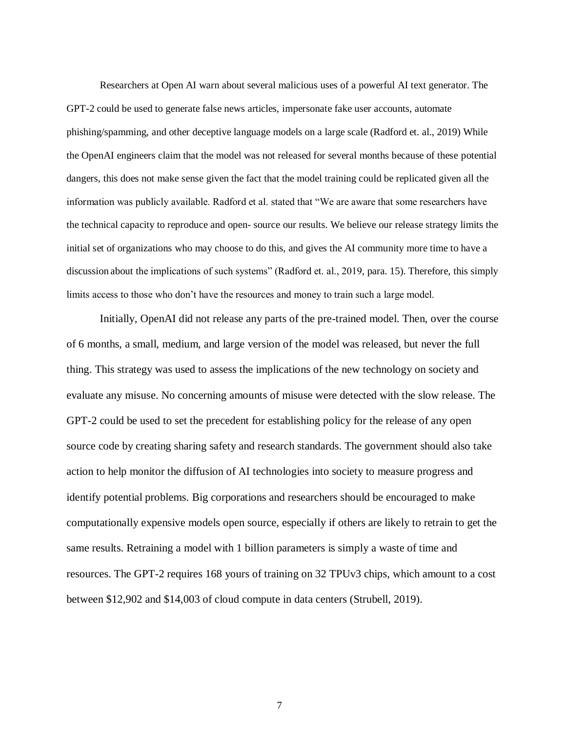Researchers at Open AI warn about several malicious uses of a powerful AI text generator. The GPT-2 could be used to generate false news articles, impersonate fake user accounts, automate phishing/spamming, and other deceptive language models on a large scale (Radford et. al., 2019) While the OpenAI engineers claim that the model was not released for several months because of these potential dangers, this does not make sense given the fact that the model training could be replicated given all the information was publicly available. Radford et al. stated that "We are aware that some researchers have the technical capacity to reproduce and open- source our results. We believe our release strategy limits the initial set of organizations who may choose to do this, and gives the AI community more time to have a discussion about the implications of such systems" (Radford et. al., 2019, para. 15). Therefore, this simply limits access to those who don't have the resources and money to train such a large model.

Initially, OpenAI did not release any parts of the pre-trained model. Then, over the course of 6 months, a small, medium, and large version of the model was released, but never the full thing. This strategy was used to assess the implications of the new technology on society and evaluate any misuse. No concerning amounts of misuse were detected with the slow release. The GPT-2 could be used to set the precedent for establishing policy for the release of any open source code by creating sharing safety and research standards. The government should also take action to help monitor the diffusion of AI technologies into society to measure progress and identify potential problems. Big corporations and researchers should be encouraged to make computationally expensive models open source, especially if others are likely to retrain to get the same results. Retraining a model with 1 billion parameters is simply a waste of time and resources. The GPT-2 requires 168 yours of training on 32 TPUv3 chips, which amount to a cost between \$12,902 and \$14,003 of cloud compute in data centers (Strubell, 2019).

7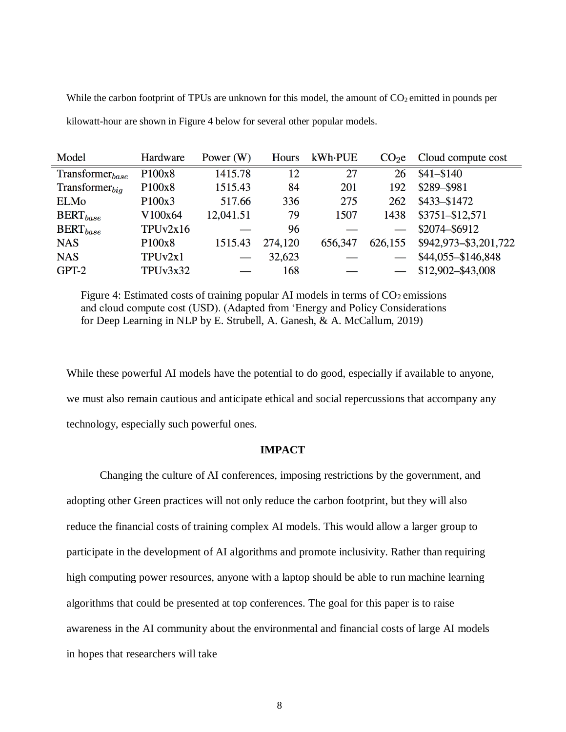While the carbon footprint of TPUs are unknown for this model, the amount of  $CO<sub>2</sub>$  emitted in pounds per kilowatt-hour are shown in Figure 4 below for several other popular models.

| Model                | Hardware            | Power $(W)$ | Hours   | kWh-PUE | CO <sub>2</sub> e | Cloud compute cost    |
|----------------------|---------------------|-------------|---------|---------|-------------------|-----------------------|
| $Transformer_{base}$ | P100x8              | 1415.78     | 12      | 27      | 26                | $$41 - $140$          |
| $Transformer_{bia}$  | P <sub>100x8</sub>  | 1515.43     | 84      | 201     | 192               | \$289-\$981           |
| <b>ELMo</b>          | P <sub>100x</sub> 3 | 517.66      | 336     | 275     | 262               | $$433 - $1472$        |
| $BERT_{base}$        | V100x64             | 12,041.51   | 79      | 1507    | 1438              | \$3751-\$12,571       |
| $BERT_{base}$        | TPUv2x16            |             | 96      |         |                   | \$2074-\$6912         |
| <b>NAS</b>           | P <sub>100x8</sub>  | 1515.43     | 274,120 | 656,347 | 626,155           | \$942,973-\$3,201,722 |
| <b>NAS</b>           | TPUv2x1             |             | 32,623  |         |                   | \$44,055-\$146,848    |
| $GPT-2$              | TPUv3x32            |             | 168     |         |                   | \$12,902-\$43,008     |

Figure 4: Estimated costs of training popular AI models in terms of  $CO<sub>2</sub>$  emissions and cloud compute cost (USD). (Adapted from 'Energy and Policy Considerations for Deep Learning in NLP by E. Strubell, A. Ganesh, & A. McCallum, 2019)

While these powerful AI models have the potential to do good, especially if available to anyone, we must also remain cautious and anticipate ethical and social repercussions that accompany any technology, especially such powerful ones.

## **IMPACT**

Changing the culture of AI conferences, imposing restrictions by the government, and adopting other Green practices will not only reduce the carbon footprint, but they will also reduce the financial costs of training complex AI models. This would allow a larger group to participate in the development of AI algorithms and promote inclusivity. Rather than requiring high computing power resources, anyone with a laptop should be able to run machine learning algorithms that could be presented at top conferences. The goal for this paper is to raise awareness in the AI community about the environmental and financial costs of large AI models in hopes that researchers will take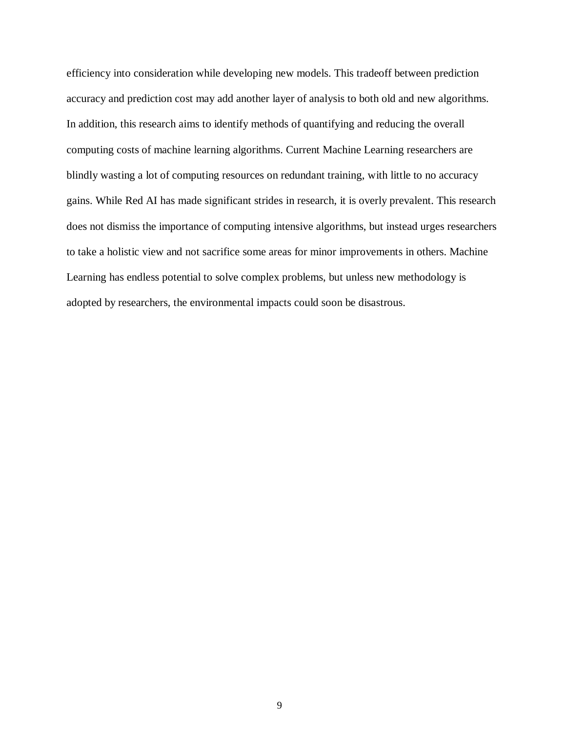efficiency into consideration while developing new models. This tradeoff between prediction accuracy and prediction cost may add another layer of analysis to both old and new algorithms. In addition, this research aims to identify methods of quantifying and reducing the overall computing costs of machine learning algorithms. Current Machine Learning researchers are blindly wasting a lot of computing resources on redundant training, with little to no accuracy gains. While Red AI has made significant strides in research, it is overly prevalent. This research does not dismiss the importance of computing intensive algorithms, but instead urges researchers to take a holistic view and not sacrifice some areas for minor improvements in others. Machine Learning has endless potential to solve complex problems, but unless new methodology is adopted by researchers, the environmental impacts could soon be disastrous.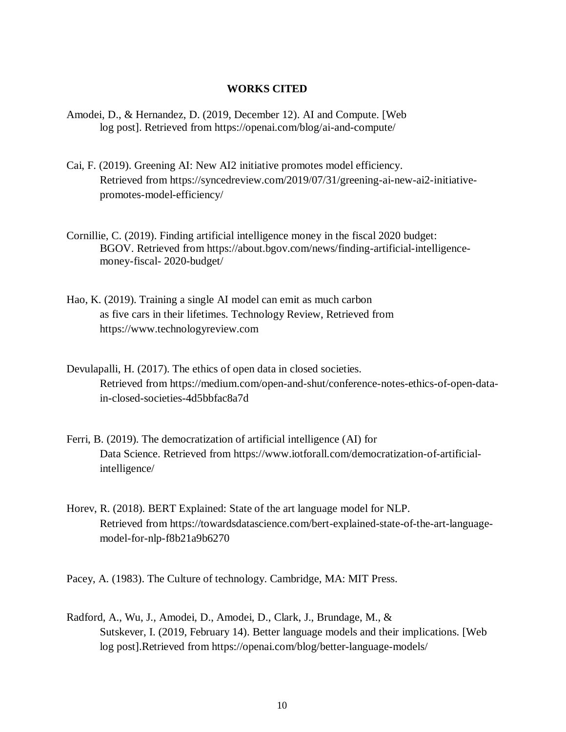## **WORKS CITED**

- Amodei, D., & Hernandez, D. (2019, December 12). AI and Compute. [Web log post]. Retrieved from https://openai.com/blog/ai-and-compute/
- Cai, F. (2019). Greening AI: New AI2 initiative promotes model efficiency. Retrieved from [https://syncedreview.com/2019/07/31/greening-ai-new-ai2-initiative](https://syncedreview.com/2019/07/31/greening-ai-new-ai2-initiative-)promotes-model-efficiency/
- Cornillie, C. (2019). Finding artificial intelligence money in the fiscal 2020 budget: BGOV. Retrieved from [https://about.bgov.com/news/finding-artificial-intelligence](https://about.bgov.com/news/finding-artificial-intelligence-money-fiscal-)[money-fiscal-](https://about.bgov.com/news/finding-artificial-intelligence-money-fiscal-) 2020-budget/
- Hao, K. (2019). Training a single AI model can emit as much carbon as five cars in their lifetimes. Technology Review, Retrieved from [https://www.technologyreview.com](https://www.technologyreview.com/s/613630/training-a-single-ai-model-can-emit-as-much-carbon-as-five-cars-in-their-lifetimes/?fbclid=IwAR391STSJzUqg7QQMphxxuELbxQ_HiXICTJ2K0Y0it-6kD8_2HwX9U-jLmY)
- Devulapalli, H. (2017). The ethics of open data in closed societies. Retrieved from [https://medium.com/open-and-shut/conference-notes-ethics-of-open-data](https://medium.com/open-and-shut/conference-notes-ethics-of-open-data-in-closed-societies-4d5bbfac8a7d)[in-closed-societies-4d5bbfac8a7d](https://medium.com/open-and-shut/conference-notes-ethics-of-open-data-in-closed-societies-4d5bbfac8a7d)
- Ferri, B. (2019). The democratization of artificial intelligence (AI) for Data Science. Retrieved from https:[//www.iotforall.com/democratization-of-artificial](http://www.iotforall.com/democratization-of-artificial-)intelligence/
- Horev, R. (2018). BERT Explained: State of the art language model for NLP. Retrieved from [https://towardsdatascience.com/bert-explained-state-of-the-art-language](https://towardsdatascience.com/bert-explained-state-of-the-art-language-)model-for-nlp-f8b21a9b6270

Pacey, A. (1983). The Culture of technology. Cambridge, MA: MIT Press.

Radford, A., Wu, J., Amodei, D., Amodei, D., Clark, J., Brundage, M., & Sutskever, I. (2019, February 14). Better language models and their implications. [Web log post].Retrieved f[rom https://openai.com/blog/better-language-models/](https://openai.com/blog/better-language-models/)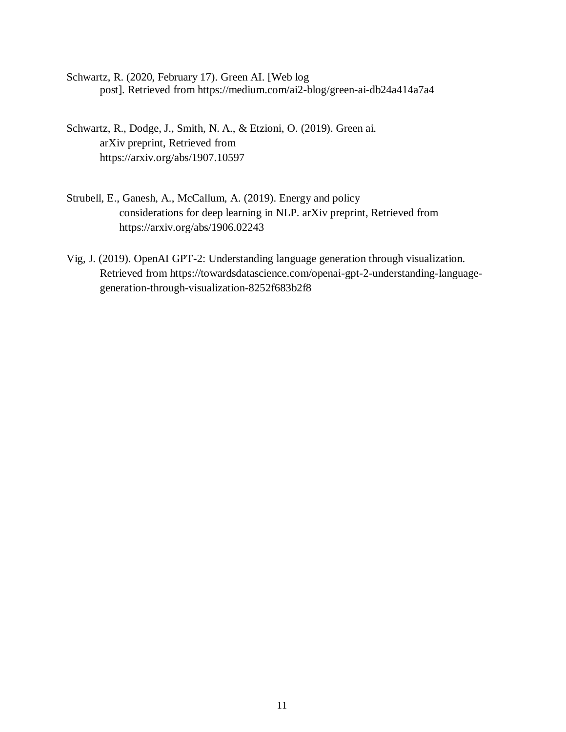- Schwartz, R. (2020, February 17). Green AI. [Web log post]. Retrieved from <https://medium.com/ai2-blog/green-ai-db24a414a7a4>
- Schwartz, R., Dodge, J., Smith, N. A., & Etzioni, O. (2019). Green ai. arXiv preprint, Retrieved from <https://arxiv.org/abs/1907.10597>
- Strubell, E., Ganesh, A., McCallum, A. (2019). Energy and policy considerations for deep learning in NLP. arXiv preprint, Retrieved from <https://arxiv.org/abs/1906.02243>
- Vig, J. (2019). OpenAI GPT-2: Understanding language generation through visualization. Retrieved from [https://towardsdatascience.com/openai-gpt-2-understanding-language](https://towardsdatascience.com/openai-gpt-2-understanding-language-generation-through-visualization-8252f683b2f8)[generation-through-visualization-8252f683b2f8](https://towardsdatascience.com/openai-gpt-2-understanding-language-generation-through-visualization-8252f683b2f8)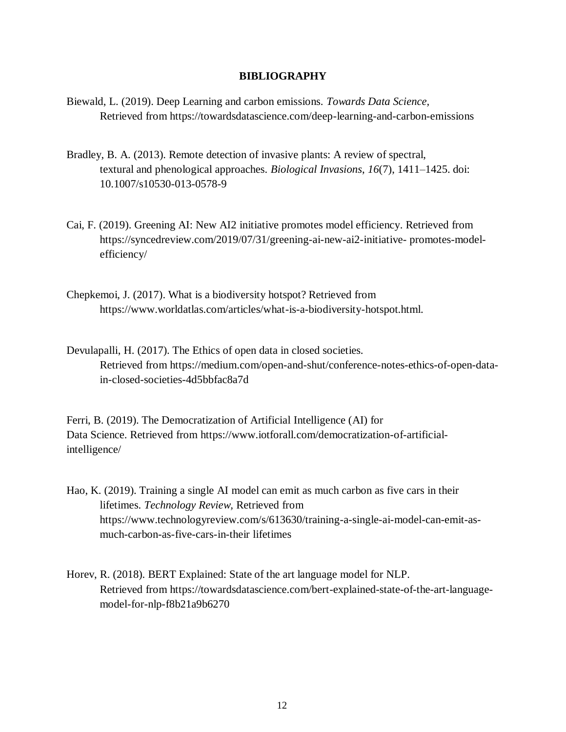# **BIBLIOGRAPHY**

- Biewald, L. (2019). Deep Learning and carbon emissions. *Towards Data Science,* Retrieved from https://towardsdatascience.com/deep-learning-and-carbon-emissions
- Bradley, B. A. (2013). Remote detection of invasive plants: A review of spectral, textural and phenological approaches. *Biological Invasions*, *16*(7), 1411–1425. doi: 10.1007/s10530-013-0578-9
- Cai, F. (2019). Greening AI: New AI2 initiative promotes model efficiency. Retrieved from https://syncedreview.com/2019/07/31/greening-ai-new-ai2-initiative- promotes-modelefficiency/
- Chepkemoi, J. (2017). What is a biodiversity hotspot? Retrieved from [https://www.worldatlas.com/articles/what-is-a-biodiversity-hotspot.html.](https://www.worldatlas.com/articles/what-is-a-biodiversity-hotspot.html)
- Devulapalli, H. (2017). The Ethics of open data in closed societies. Retrieved from [https://medium.com/open-and-shut/conference-notes-ethics-of-open-data](https://medium.com/open-and-shut/conference-notes-ethics-of-open-data-in-closed-societies-4d5bbfac8a7d)[in-closed-societies-4d5bbfac8a7d](https://medium.com/open-and-shut/conference-notes-ethics-of-open-data-in-closed-societies-4d5bbfac8a7d)

Ferri, B. (2019). The Democratization of Artificial Intelligence (AI) for Data Science. Retrieved from [https://www.iotforall.com/democratization-of-artificial](https://www.iotforall.com/democratization-of-artificial-intelligence/)[intelligence/](https://www.iotforall.com/democratization-of-artificial-intelligence/)

- Hao, K. (2019). Training a single AI model can emit as much carbon as five cars in their lifetimes. *Technology Review,* Retrieved from [https://www.technologyreview.com/s/613630/training-a-single-ai-model-can-emit-as](https://www.technologyreview.com/s/613630/training-a-single-ai-model-can-emit-as-much-carbon-as-five-cars-in-their-lifetimes/?fbclid=IwAR391STSJzUqg7QQMphxxuELbxQ_HiXICTJ2K0Y0it-%206kD8_2HwX9U-jLmY)[much-carbon-as-five-cars-in-their lifetimes](https://www.technologyreview.com/s/613630/training-a-single-ai-model-can-emit-as-much-carbon-as-five-cars-in-their-lifetimes/?fbclid=IwAR391STSJzUqg7QQMphxxuELbxQ_HiXICTJ2K0Y0it-%206kD8_2HwX9U-jLmY)
- Horev, R. (2018). BERT Explained: State of the art language model for NLP. Retrieved from [https://towardsdatascience.com/bert-explained-state-of-the-art-language](https://towardsdatascience.com/bert-explained-state-of-the-art-language-)model-for-nlp-f8b21a9b6270